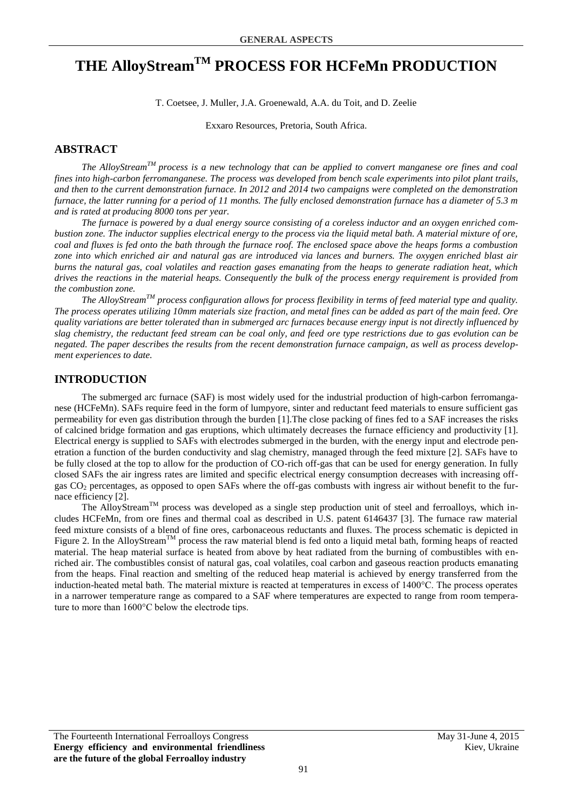# **THE AlloyStreamTM PROCESS FOR HCFeMn PRODUCTION**

T. Coetsee, J. Muller, J.A. Groenewald, A.A. du Toit, and D. Zeelie

Exxaro Resources, Pretoria, South Africa.

## **ABSTRACT**

*The AlloyStreamTM process is a new technology that can be applied to convert manganese ore fines and coal fines into high-carbon ferromanganese. The process was developed from bench scale experiments into pilot plant trails, and then to the current demonstration furnace. In 2012 and 2014 two campaigns were completed on the demonstration furnace, the latter running for a period of 11 months. The fully enclosed demonstration furnace has a diameter of 5.3 m and is rated at producing 8000 tons per year.*

*The furnace is powered by a dual energy source consisting of a coreless inductor and an oxygen enriched combustion zone. The inductor supplies electrical energy to the process via the liquid metal bath. A material mixture of ore, coal and fluxes is fed onto the bath through the furnace roof. The enclosed space above the heaps forms a combustion zone into which enriched air and natural gas are introduced via lances and burners. The oxygen enriched blast air burns the natural gas, coal volatiles and reaction gases emanating from the heaps to generate radiation heat, which drives the reactions in the material heaps. Consequently the bulk of the process energy requirement is provided from the combustion zone.*

*The AlloyStreamTM process configuration allows for process flexibility in terms of feed material type and quality. The process operates utilizing 10mm materials size fraction, and metal fines can be added as part of the main feed. Ore quality variations are better tolerated than in submerged arc furnaces because energy input is not directly influenced by slag chemistry, the reductant feed stream can be coal only, and feed ore type restrictions due to gas evolution can be negated. The paper describes the results from the recent demonstration furnace campaign, as well as process development experiences to date.*

## **INTRODUCTION**

The submerged arc furnace (SAF) is most widely used for the industrial production of high-carbon ferromanganese (HCFeMn). SAFs require feed in the form of lumpyore, sinter and reductant feed materials to ensure sufficient gas permeability for even gas distribution through the burden [1].The close packing of fines fed to a SAF increases the risks of calcined bridge formation and gas eruptions, which ultimately decreases the furnace efficiency and productivity [1]. Electrical energy is supplied to SAFs with electrodes submerged in the burden, with the energy input and electrode penetration a function of the burden conductivity and slag chemistry, managed through the feed mixture [2]. SAFs have to be fully closed at the top to allow for the production of CO-rich off-gas that can be used for energy generation. In fully closed SAFs the air ingress rates are limited and specific electrical energy consumption decreases with increasing offgas  $CO<sub>2</sub>$  percentages, as opposed to open SAFs where the off-gas combusts with ingress air without benefit to the furnace efficiency [2].

The AlloyStream<sup>TM</sup> process was developed as a single step production unit of steel and ferroalloys, which includes HCFeMn, from ore fines and thermal coal as described in U.S. patent 6146437 [3]. The furnace raw material feed mixture consists of a blend of fine ores, carbonaceous reductants and fluxes. The process schematic is depicted in [Figure 2.](#page-1-0) In the AlloyStream<sup>TM</sup> process the raw material blend is fed onto a liquid metal bath, forming heaps of reacted material. The heap material surface is heated from above by heat radiated from the burning of combustibles with enriched air. The combustibles consist of natural gas, coal volatiles, coal carbon and gaseous reaction products emanating from the heaps. Final reaction and smelting of the reduced heap material is achieved by energy transferred from the induction-heated metal bath. The material mixture is reacted at temperatures in excess of 1400°C. The process operates in a narrower temperature range as compared to a SAF where temperatures are expected to range from room temperature to more than 1600°C below the electrode tips.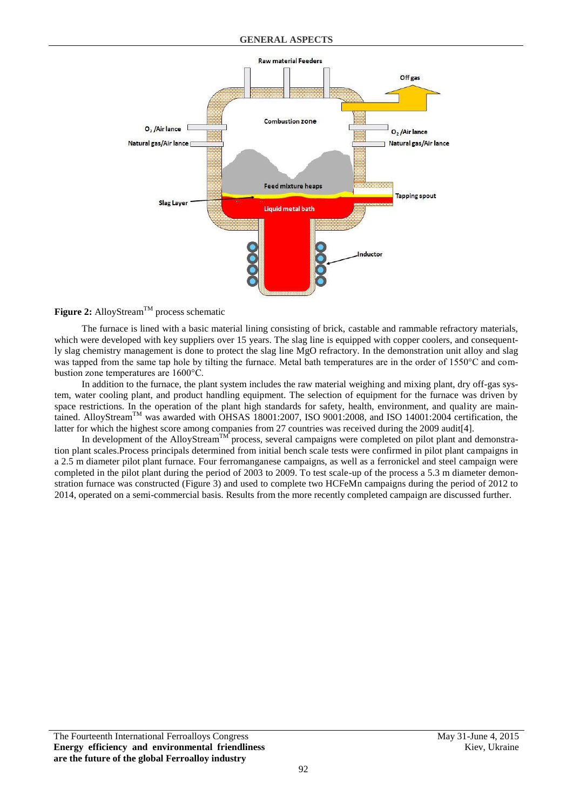

<span id="page-1-0"></span>Figure 2: AlloyStream<sup>TM</sup> process schematic

The furnace is lined with a basic material lining consisting of brick, castable and rammable refractory materials, which were developed with key suppliers over 15 years. The slag line is equipped with copper coolers, and consequently slag chemistry management is done to protect the slag line MgO refractory. In the demonstration unit alloy and slag was tapped from the same tap hole by tilting the furnace. Metal bath temperatures are in the order of 1550°C and combustion zone temperatures are 1600°C.

In addition to the furnace, the plant system includes the raw material weighing and mixing plant, dry off-gas system, water cooling plant, and product handling equipment. The selection of equipment for the furnace was driven by space restrictions. In the operation of the plant high standards for safety, health, environment, and quality are maintained. AlloyStream<sup>TM</sup> was awarded with OHSAS 18001:2007, ISO 9001:2008, and ISO 14001:2004 certification, the latter for which the highest score among companies from 27 countries was received during the 2009 audit[4].

In development of the AlloyStream<sup>TM</sup> process, several campaigns were completed on pilot plant and demonstration plant scales.Process principals determined from initial bench scale tests were confirmed in pilot plant campaigns in a 2.5 m diameter pilot plant furnace. Four ferromanganese campaigns, as well as a ferronickel and steel campaign were completed in the pilot plant during the period of 2003 to 2009. To test scale-up of the process a 5.3 m diameter demonstration furnace was constructed [\(Figure 3\)](#page-2-0) and used to complete two HCFeMn campaigns during the period of 2012 to 2014, operated on a semi-commercial basis. Results from the more recently completed campaign are discussed further.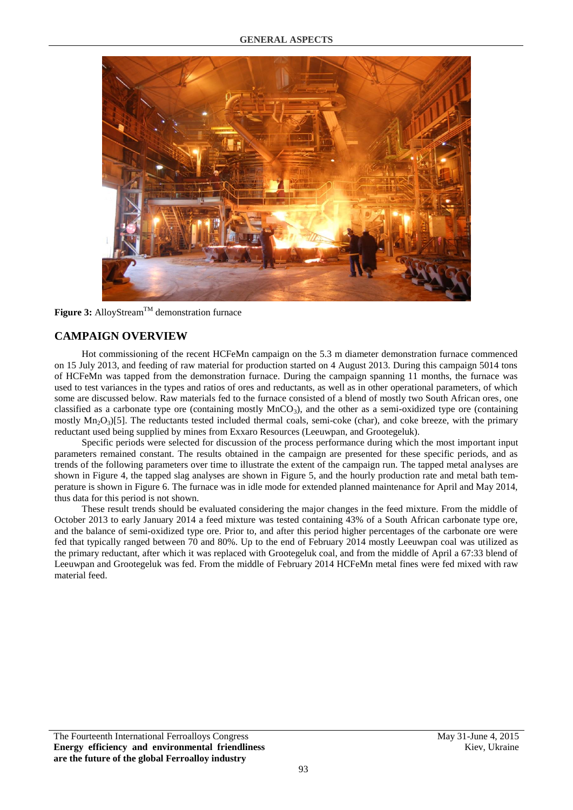

**Figure 3:** AlloyStreamTM demonstration furnace

# <span id="page-2-0"></span>**CAMPAIGN OVERVIEW**

Hot commissioning of the recent HCFeMn campaign on the 5.3 m diameter demonstration furnace commenced on 15 July 2013, and feeding of raw material for production started on 4 August 2013. During this campaign 5014 tons of HCFeMn was tapped from the demonstration furnace. During the campaign spanning 11 months, the furnace was used to test variances in the types and ratios of ores and reductants, as well as in other operational parameters, of which some are discussed below. Raw materials fed to the furnace consisted of a blend of mostly two South African ores, one classified as a carbonate type ore (containing mostly  $MnCO<sub>3</sub>$ ), and the other as a semi-oxidized type ore (containing mostly  $Mn_2O_3$ [5]. The reductants tested included thermal coals, semi-coke (char), and coke breeze, with the primary reductant used being supplied by mines from Exxaro Resources (Leeuwpan, and Grootegeluk).

Specific periods were selected for discussion of the process performance during which the most important input parameters remained constant. The results obtained in the campaign are presented for these specific periods, and as trends of the following parameters over time to illustrate the extent of the campaign run. The tapped metal analyses are shown in [Figure 4,](#page-3-0) the tapped slag analyses are shown in [Figure 5,](#page-3-1) and the hourly production rate and metal bath temperature is shown in [Figure 6.](#page-3-2) The furnace was in idle mode for extended planned maintenance for April and May 2014, thus data for this period is not shown.

These result trends should be evaluated considering the major changes in the feed mixture. From the middle of October 2013 to early January 2014 a feed mixture was tested containing 43% of a South African carbonate type ore, and the balance of semi-oxidized type ore. Prior to, and after this period higher percentages of the carbonate ore were fed that typically ranged between 70 and 80%. Up to the end of February 2014 mostly Leeuwpan coal was utilized as the primary reductant, after which it was replaced with Grootegeluk coal, and from the middle of April a 67:33 blend of Leeuwpan and Grootegeluk was fed. From the middle of February 2014 HCFeMn metal fines were fed mixed with raw material feed.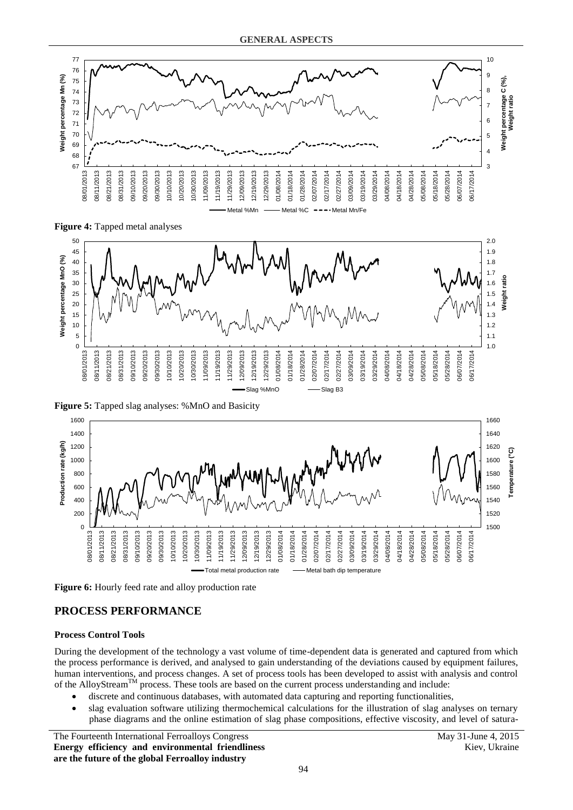

<span id="page-3-0"></span>**Figure 4:** Tapped metal analyses



<span id="page-3-1"></span>**Figure 5:** Tapped slag analyses: %MnO and Basicity



<span id="page-3-2"></span>**Figure 6:** Hourly feed rate and alloy production rate

## **PROCESS PERFORMANCE**

## **Process Control Tools**

During the development of the technology a vast volume of time-dependent data is generated and captured from which the process performance is derived, and analysed to gain understanding of the deviations caused by equipment failures, human interventions, and process changes. A set of process tools has been developed to assist with analysis and control of the AlloyStream<sup>TM</sup> process. These tools are based on the current process understanding and include:

- discrete and continuous databases, with automated data capturing and reporting functionalities,
- slag evaluation software utilizing thermochemical calculations for the illustration of slag analyses on ternary phase diagrams and the online estimation of slag phase compositions, effective viscosity, and level of satura-

The Fourteenth International Ferroalloys Congress May 31-June 4, 2015 **Energy efficiency and environmental friendliness are the future of the global Ferroalloy industry**

Kiev, Ukraine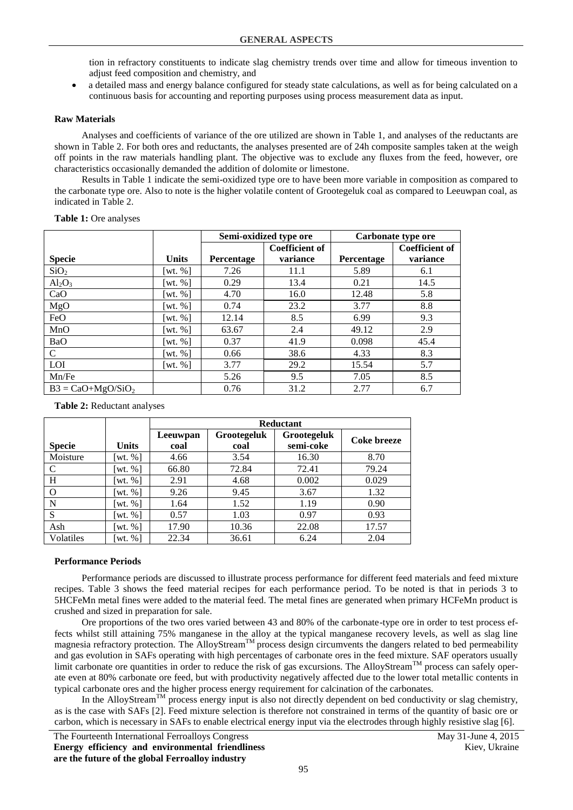tion in refractory constituents to indicate slag chemistry trends over time and allow for timeous invention to adjust feed composition and chemistry, and

 a detailed mass and energy balance configured for steady state calculations, as well as for being calculated on a continuous basis for accounting and reporting purposes using process measurement data as input.

### **Raw Materials**

Analyses and coefficients of variance of the ore utilized are shown in [Table 1,](#page-4-0) and analyses of the reductants are shown in [Table 2.](#page-4-1) For both ores and reductants, the analyses presented are of 24h composite samples taken at the weigh off points in the raw materials handling plant. The objective was to exclude any fluxes from the feed, however, ore characteristics occasionally demanded the addition of dolomite or limestone.

Results in [Table 1](#page-4-0) indicate the semi-oxidized type ore to have been more variable in composition as compared to the carbonate type ore. Also to note is the higher volatile content of Grootegeluk coal as compared to Leeuwpan coal, as indicated in [Table 2.](#page-4-1)

### <span id="page-4-0"></span>**Table 1:** Ore analyses

|                     |                        | Semi-oxidized type ore |          |            | Carbonate type ore    |
|---------------------|------------------------|------------------------|----------|------------|-----------------------|
|                     |                        | <b>Coefficient of</b>  |          |            | <b>Coefficient of</b> |
| <b>Specie</b>       | <b>Units</b>           | Percentage             | variance | Percentage | variance              |
| SiO <sub>2</sub>    | [wt. $%$ ]             | 7.26                   | 11.1     | 5.89       | 6.1                   |
| $Al_2O_3$           | [wt. $%$ ]             | 0.29                   | 13.4     | 0.21       | 14.5                  |
| CaO                 | [wt. $%$ ]             | 4.70                   | 16.0     | 12.48      | 5.8                   |
| MgO                 | [wt. $%$ ]             | 0.74                   | 23.2     | 3.77       | 8.8                   |
| FeO                 | [wt. $%$ ]             | 12.14                  | 8.5      | 6.99       | 9.3                   |
| MnO                 | [wt. $%$ ]             | 63.67                  | 2.4      | 49.12      | 2.9                   |
| BaO                 | [wt. $%$ ]             | 0.37                   | 41.9     | 0.098      | 45.4                  |
| $\mathcal{C}$       | [wt. %]                | 0.66                   | 38.6     | 4.33       | 8.3                   |
| LOI                 | $\lceil wt. \% \rceil$ | 3.77                   | 29.2     | 15.54      | 5.7                   |
| Mn/Fe               |                        | 5.26                   | 9.5      | 7.05       | 8.5                   |
| $B3 = CaO+MgO/SiO2$ |                        | 0.76                   | 31.2     | 2.77       | 6.7                   |

#### <span id="page-4-1"></span>**Table 2:** Reductant analyses

|               |                        | Reductant |             |             |             |  |  |
|---------------|------------------------|-----------|-------------|-------------|-------------|--|--|
|               |                        | Leeuwpan  | Grootegeluk | Grootegeluk | Coke breeze |  |  |
| <b>Specie</b> | <b>Units</b>           | coal      | coal        | semi-coke   |             |  |  |
| Moisture      | $\lceil wt. \% \rceil$ | 4.66      | 3.54        | 16.30       | 8.70        |  |  |
| C             | $\lceil wt. \% \rceil$ | 66.80     | 72.84       | 72.41       | 79.24       |  |  |
| H             | $\lceil wt. \% \rceil$ | 2.91      | 4.68        | 0.002       | 0.029       |  |  |
| $\Omega$      | wt. $%$                | 9.26      | 9.45        | 3.67        | 1.32        |  |  |
| N             | $\lceil wt. \% \rceil$ | 1.64      | 1.52        | 1.19        | 0.90        |  |  |
| S             | $\lceil wt. \% \rceil$ | 0.57      | 1.03        | 0.97        | 0.93        |  |  |
| Ash           | $\lceil wt. \% \rceil$ | 17.90     | 10.36       | 22.08       | 17.57       |  |  |
| Volatiles     | wt. $%$ ]              | 22.34     | 36.61       | 6.24        | 2.04        |  |  |

#### **Performance Periods**

Performance periods are discussed to illustrate process performance for different feed materials and feed mixture recipes. [Table 3](#page-5-0) shows the feed material recipes for each performance period. To be noted is that in periods 3 to 5HCFeMn metal fines were added to the material feed. The metal fines are generated when primary HCFeMn product is crushed and sized in preparation for sale.

Ore proportions of the two ores varied between 43 and 80% of the carbonate-type ore in order to test process effects whilst still attaining 75% manganese in the alloy at the typical manganese recovery levels, as well as slag line magnesia refractory protection. The AlloyStream<sup>TM</sup> process design circumvents the dangers related to bed permeability and gas evolution in SAFs operating with high percentages of carbonate ores in the feed mixture. SAF operators usually limit carbonate ore quantities in order to reduce the risk of gas excursions. The AlloyStream<sup>TM</sup> process can safely operate even at 80% carbonate ore feed, but with productivity negatively affected due to the lower total metallic contents in typical carbonate ores and the higher process energy requirement for calcination of the carbonates.

In the AlloyStream<sup>TM</sup> process energy input is also not directly dependent on bed conductivity or slag chemistry, as is the case with SAFs [2]. Feed mixture selection is therefore not constrained in terms of the quantity of basic ore or carbon, which is necessary in SAFs to enable electrical energy input via the electrodes through highly resistive slag [6].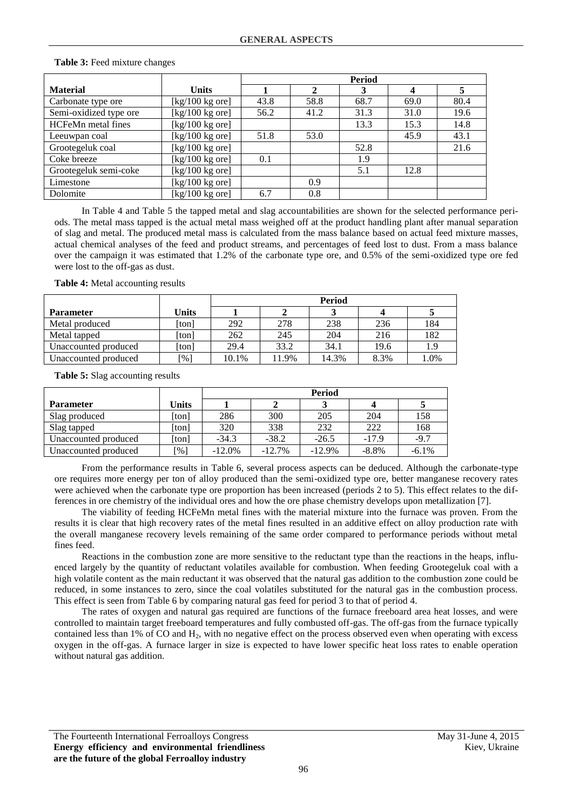|                        |                                                       | <b>Period</b> |                |      |                  |      |
|------------------------|-------------------------------------------------------|---------------|----------------|------|------------------|------|
| <b>Material</b>        | <b>Units</b>                                          |               | $\mathfrak{D}$ | 3    | $\boldsymbol{4}$ | 5    |
| Carbonate type ore     | $[kg/100 kg$ ore]                                     | 43.8          | 58.8           | 68.7 | 69.0             | 80.4 |
| Semi-oxidized type ore | [ $kg/100$ kg ore]                                    | 56.2          | 41.2           | 31.3 | 31.0             | 19.6 |
| HCFeMn metal fines     | [ $kg/100$ kg ore]                                    |               |                | 13.3 | 15.3             | 14.8 |
| Leeuwpan coal          | $\left[\frac{kg}{100 \text{ kg} \text{ or }t}\right]$ | 51.8          | 53.0           |      | 45.9             | 43.1 |
| Grootegeluk coal       | [ $kg/100$ kg ore]                                    |               |                | 52.8 |                  | 21.6 |
| Coke breeze            | [ $kg/100$ kg ore]                                    | 0.1           |                | 1.9  |                  |      |
| Grootegeluk semi-coke  | $[kg/100 kg$ ore]                                     |               |                | 5.1  | 12.8             |      |
| Limestone              | [ $kg/100$ kg ore]                                    |               | 0.9            |      |                  |      |
| Dolomite               | $[kg/100 kg$ ore]                                     | 6.7           | 0.8            |      |                  |      |

#### <span id="page-5-0"></span>**Table 3:** Feed mixture changes

In [Table 4](#page-5-1) and [Table 5](#page-5-2) the tapped metal and slag accountabilities are shown for the selected performance periods. The metal mass tapped is the actual metal mass weighed off at the product handling plant after manual separation of slag and metal. The produced metal mass is calculated from the mass balance based on actual feed mixture masses, actual chemical analyses of the feed and product streams, and percentages of feed lost to dust. From a mass balance over the campaign it was estimated that 1.2% of the carbonate type ore, and 0.5% of the semi-oxidized type ore fed were lost to the off-gas as dust.

<span id="page-5-1"></span>**Table 4:** Metal accounting results

|                      |              | <b>Period</b> |       |       |      |      |  |
|----------------------|--------------|---------------|-------|-------|------|------|--|
| <b>Parameter</b>     | <b>Units</b> |               |       |       |      |      |  |
| Metal produced       | [ton]        | 292           | 278   | 238   | 236  | 184  |  |
| Metal tapped         | [ton]        | 262           | 245   | 204   | 216  | 182  |  |
| Unaccounted produced | [ton]        | 29.4          | 33.2  | 34.1  | 19.6 | 1.9  |  |
| Unaccounted produced | [%]          | 10.1%         | 11.9% | 14.3% | 8.3% | 1.0% |  |

<span id="page-5-2"></span>**Table 5:** Slag accounting results

|                      |       | Period    |          |          |          |          |  |
|----------------------|-------|-----------|----------|----------|----------|----------|--|
| <b>Parameter</b>     | Units |           |          |          |          |          |  |
| Slag produced        | [ton] | 286       | 300      | 205      | 204      | 158      |  |
| Slag tapped          | [ton] | 320       | 338      | 232      | 222      | 168      |  |
| Unaccounted produced | [ton] | $-34.3$   | $-38.2$  | $-26.5$  | $-17.9$  | $-9.7$   |  |
| Unaccounted produced | [%]   | $-12.0\%$ | $-12.7%$ | $-12.9%$ | $-8.8\%$ | $-6.1\%$ |  |

From the performance results in [Table 6,](#page-6-0) several process aspects can be deduced. Although the carbonate-type ore requires more energy per ton of alloy produced than the semi-oxidized type ore, better manganese recovery rates were achieved when the carbonate type ore proportion has been increased (periods 2 to 5). This effect relates to the differences in ore chemistry of the individual ores and how the ore phase chemistry develops upon metallization [7].

The viability of feeding HCFeMn metal fines with the material mixture into the furnace was proven. From the results it is clear that high recovery rates of the metal fines resulted in an additive effect on alloy production rate with the overall manganese recovery levels remaining of the same order compared to performance periods without metal fines feed.

Reactions in the combustion zone are more sensitive to the reductant type than the reactions in the heaps, influenced largely by the quantity of reductant volatiles available for combustion. When feeding Grootegeluk coal with a high volatile content as the main reductant it was observed that the natural gas addition to the combustion zone could be reduced, in some instances to zero, since the coal volatiles substituted for the natural gas in the combustion process. This effect is seen fro[m Table 6](#page-6-0) by comparing natural gas feed for period 3 to that of period 4.

The rates of oxygen and natural gas required are functions of the furnace freeboard area heat losses, and were controlled to maintain target freeboard temperatures and fully combusted off-gas. The off-gas from the furnace typically contained less than 1% of CO and  $H_2$ , with no negative effect on the process observed even when operating with excess oxygen in the off-gas. A furnace larger in size is expected to have lower specific heat loss rates to enable operation without natural gas addition.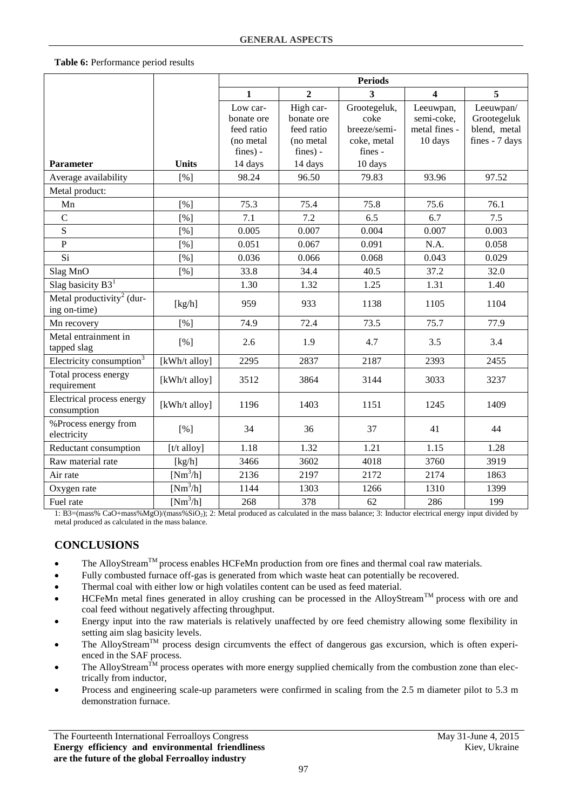## <span id="page-6-0"></span>**Table 6:** Performance period results

|                                                       |               | <b>Periods</b> |                |              |                         |                |
|-------------------------------------------------------|---------------|----------------|----------------|--------------|-------------------------|----------------|
|                                                       |               | $\mathbf{1}$   | $\overline{2}$ | 3            | $\overline{\mathbf{4}}$ | 5              |
|                                                       |               | Low car-       | High car-      | Grootegeluk, | Leeuwpan,               | Leeuwpan/      |
|                                                       |               | bonate ore     | bonate ore     | coke         | semi-coke,              | Grootegeluk    |
|                                                       |               | feed ratio     | feed ratio     | breeze/semi- | metal fines -           | blend, metal   |
|                                                       |               | (no metal      | (no metal)     | coke, metal  | 10 days                 | fines - 7 days |
|                                                       |               | $fines$ ) -    | fines) -       | fines -      |                         |                |
| Parameter                                             | <b>Units</b>  | 14 days        | 14 days        | 10 days      |                         |                |
| Average availability                                  | [%]           | 98.24          | 96.50          | 79.83        | 93.96                   | 97.52          |
| Metal product:                                        |               |                |                |              |                         |                |
| Mn                                                    | [%]           | 75.3           | 75.4           | 75.8         | 75.6                    | 76.1           |
| $\overline{C}$                                        | [%]           | 7.1            | 7.2            | 6.5          | 6.7                     | 7.5            |
| $\mathbf S$                                           | [%]           | 0.005          | 0.007          | 0.004        | 0.007                   | 0.003          |
| $\overline{P}$                                        | [%]           | 0.051          | 0.067          | 0.091        | N.A.                    | 0.058          |
| Si                                                    | [%]           | 0.036          | 0.066          | 0.068        | 0.043                   | 0.029          |
| Slag MnO                                              | [%]           | 33.8           | 34.4           | 40.5         | 37.2                    | 32.0           |
| Slag basicity $B31$                                   |               | 1.30           | 1.32           | 1.25         | 1.31                    | 1.40           |
| Metal productivity <sup>2</sup> (dur-<br>ing on-time) | [kg/h]        | 959            | 933            | 1138         | 1105                    | 1104           |
| Mn recovery                                           | [%]           | 74.9           | 72.4           | 73.5         | 75.7                    | 77.9           |
| Metal entrainment in<br>tapped slag                   | [%]           | 2.6            | 1.9            | 4.7          | 3.5                     | 3.4            |
| Electricity consumption <sup>3</sup>                  | [kWh/t alloy] | 2295           | 2837           | 2187         | 2393                    | 2455           |
| Total process energy<br>requirement                   | [kWh/t alloy] | 3512           | 3864           | 3144         | 3033                    | 3237           |
| Electrical process energy<br>consumption              | [kWh/t alloy] | 1196           | 1403           | 1151         | 1245                    | 1409           |
| %Process energy from<br>electricity                   | [%]           | 34             | 36             | 37           | 41                      | 44             |
| Reductant consumption                                 | [t/t alloy]   | 1.18           | 1.32           | 1.21         | 1.15                    | 1.28           |
| Raw material rate                                     | [kg/h]        | 3466           | 3602           | 4018         | 3760                    | 3919           |
| Air rate                                              | $[Nm^3/h]$    | 2136           | 2197           | 2172         | 2174                    | 1863           |
| Oxygen rate                                           | $[Nm^3/h]$    | 1144           | 1303           | 1266         | 1310                    | 1399           |
| Fuel rate                                             | $[Nm^3/h]$    | 268            | 378            | 62           | 286                     | 199            |

1: B3=(mass% CaO+mass%MgO)/(mass%SiO2); 2: Metal produced as calculated in the mass balance; 3: Inductor electrical energy input divided by metal produced as calculated in the mass balance.

# **CONCLUSIONS**

- The AlloyStream<sup>TM</sup> process enables HCFeMn production from ore fines and thermal coal raw materials.
- Fully combusted furnace off-gas is generated from which waste heat can potentially be recovered.
- Thermal coal with either low or high volatiles content can be used as feed material.
- HCFeMn metal fines generated in alloy crushing can be processed in the AlloyStream<sup>TM</sup> process with ore and coal feed without negatively affecting throughput.
- Energy input into the raw materials is relatively unaffected by ore feed chemistry allowing some flexibility in setting aim slag basicity levels.
- The AlloyStream<sup>TM</sup> process design circumvents the effect of dangerous gas excursion, which is often experienced in the SAF process.
- The AlloyStream<sup>TM</sup> process operates with more energy supplied chemically from the combustion zone than electrically from inductor,
- Process and engineering scale-up parameters were confirmed in scaling from the 2.5 m diameter pilot to 5.3 m demonstration furnace.

The Fourteenth International Ferroalloys Congress May 31-June 4, 2015 **Energy efficiency and environmental friendliness are the future of the global Ferroalloy industry**